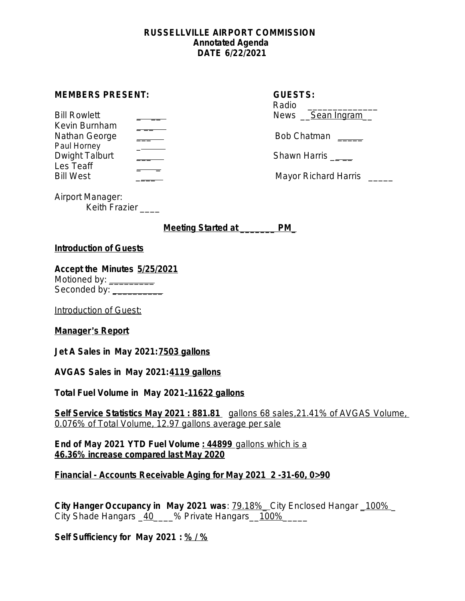#### **RUSSELLVILLE AIRPORT COMMISSION Annotated Agenda DATE 6/22/2021**

| <b>MEMBERS PRESENT:</b> | <b>GUESTS:</b> |
|-------------------------|----------------|
|-------------------------|----------------|

| <b>Bill Rowlett</b> | News Sean Ingram                               |
|---------------------|------------------------------------------------|
| Kevin Burnham       |                                                |
| Nathan George       | <b>Bob Chatman</b><br><u> 1999 - Andre Ste</u> |
| Paul Horney         |                                                |
| Dwight Talburt      | Shawn Harris                                   |
| Les Teaff           |                                                |
| <b>Bill West</b>    | Mayor Richard Harris                           |

| <b>GUESTS:</b><br>Radio<br>News <u>Sean Ingram</u> |
|----------------------------------------------------|
| Bob Chatman                                        |
| Shawn Harris                                       |
|                                                    |

Airport Manager: Keith Frazier \_\_\_\_

**Meeting Started at \_\_\_\_\_\_\_ PM\_**

# **Introduction of Guests**

**Accept the Minutes 5/25/2021** Motioned by: \_\_\_\_\_\_\_\_\_\_ Seconded by: \_\_\_\_\_\_\_\_\_\_\_\_\_

Introduction of Guest:

**Manager**'**s Report**

**Jet A Sales in May 2021:7503 gallons**

**AVGAS Sales in May 2021:4119 gallons**

**Total Fuel Volume in May 2021-11622 gallons**

**Self Service Statistics May 2021 : 881.81** gallons 68 sales,21.41% of AVGAS Volume, 0.076% of Total Volume, 12.97 gallons average per sale

**End of May 2021 YTD Fuel Volume : 44899** gallons which is a **46.36% increase compared last May 2020**

**Financial - Accounts Receivable Aging for May 2021 2 -31-60, 0>90**

**City Hanger Occupancy in May 2021 was**: 79.18%\_ City Enclosed Hangar \_100% \_ City Shade Hangars \_40\_\_\_\_% Private Hangars \_100%\_\_\_\_\_\_\_\_\_\_\_\_\_\_\_\_\_\_\_\_\_\_\_\_\_\_\_\_\_\_\_

**Self Sufficiency for May 2021 : % / %**